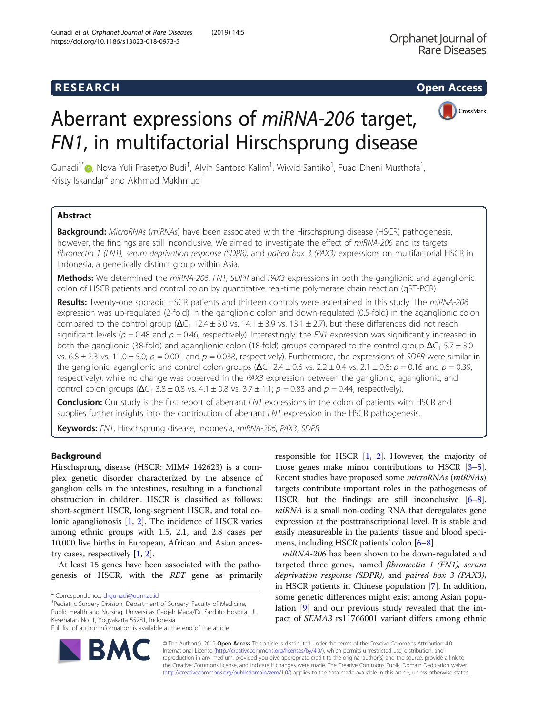## **RESEARCH RESEARCH CONSUMING ACCESS**



# Aberrant expressions of miRNA-206 target, FN1, in multifactorial Hirschsprung disease

Gunadi<sup>1[\\*](http://orcid.org/0000-0002-4707-6526)</sup>®, Nova Yuli Prasetyo Budi<sup>1</sup>, Alvin Santoso Kalim<sup>1</sup>, Wiwid Santiko<sup>1</sup>, Fuad Dheni Musthofa<sup>1</sup> , Kristy Iskandar<sup>2</sup> and Akhmad Makhmudi<sup>1</sup>

## Abstract

Background: MicroRNAs (miRNAs) have been associated with the Hirschsprung disease (HSCR) pathogenesis, however, the findings are still inconclusive. We aimed to investigate the effect of miRNA-206 and its targets, fibronectin 1 (FN1), serum deprivation response (SDPR), and paired box 3 (PAX3) expressions on multifactorial HSCR in Indonesia, a genetically distinct group within Asia.

Methods: We determined the miRNA-206, FN1, SDPR and PAX3 expressions in both the ganglionic and aganglionic colon of HSCR patients and control colon by quantitative real-time polymerase chain reaction (qRT-PCR).

Results: Twenty-one sporadic HSCR patients and thirteen controls were ascertained in this study. The miRNA-206 expression was up-regulated (2-fold) in the ganglionic colon and down-regulated (0.5-fold) in the aganglionic colon compared to the control group  $(\Delta C_T$  12.4 ± 3.0 vs. 14.1 ± 3.9 vs. 13.1 ± 2.7), but these differences did not reach significant levels ( $p = 0.48$  and  $p = 0.46$ , respectively). Interestingly, the FN1 expression was significantly increased in both the ganglionic (38-fold) and aganglionic colon (18-fold) groups compared to the control group  $\Delta C_T$  5.7  $\pm$  3.0 vs.  $6.8 \pm 2.3$  vs. 11.0  $\pm$  5.0;  $p = 0.001$  and  $p = 0.038$ , respectively). Furthermore, the expressions of SDPR were similar in the ganglionic, aganglionic and control colon groups  $(\Delta C_T 2.4 \pm 0.6 \text{ vs. } 2.2 \pm 0.4 \text{ vs. } 2.1 \pm 0.6; p = 0.16 \text{ and } p = 0.39)$ respectively), while no change was observed in the PAX3 expression between the ganglionic, aganglionic, and control colon groups  $(\Delta C_T 3.8 \pm 0.8 \text{ vs. } 4.1 \pm 0.8 \text{ vs. } 3.7 \pm 1.1; p = 0.83 \text{ and } p = 0.44$ , respectively).

**Conclusion:** Our study is the first report of aberrant FN1 expressions in the colon of patients with HSCR and supplies further insights into the contribution of aberrant FN1 expression in the HSCR pathogenesis.

Keywords: FN1, Hirschsprung disease, Indonesia, miRNA-206, PAX3, SDPR

## Background

Hirschsprung disease (HSCR: MIM# 142623) is a complex genetic disorder characterized by the absence of ganglion cells in the intestines, resulting in a functional obstruction in children. HSCR is classified as follows: short-segment HSCR, long-segment HSCR, and total colonic aganglionosis [\[1](#page-4-0), [2\]](#page-4-0). The incidence of HSCR varies among ethnic groups with 1.5, 2.1, and 2.8 cases per 10,000 live births in European, African and Asian ancestry cases, respectively [[1,](#page-4-0) [2\]](#page-4-0).

At least 15 genes have been associated with the pathogenesis of HSCR, with the RET gene as primarily

<sup>1</sup>Pediatric Surgery Division, Department of Surgery, Faculty of Medicine, Public Health and Nursing, Universitas Gadjah Mada/Dr. Sardjito Hospital, Jl. Kesehatan No. 1, Yogyakarta 55281, Indonesia Full list of author information is available at the end of the article

responsible for HSCR [[1,](#page-4-0) [2\]](#page-4-0). However, the majority of those genes make minor contributions to HSCR  $[3-5]$  $[3-5]$  $[3-5]$  $[3-5]$  $[3-5]$ . Recent studies have proposed some microRNAs (miRNAs) targets contribute important roles in the pathogenesis of HSCR, but the findings are still inconclusive [[6](#page-4-0)–[8](#page-4-0)]. miRNA is a small non-coding RNA that deregulates gene expression at the posttranscriptional level. It is stable and easily measureable in the patients' tissue and blood specimens, including HSCR patients' colon [[6](#page-4-0)–[8](#page-4-0)].

miRNA-206 has been shown to be down-regulated and targeted three genes, named *fibronectin 1 (FN1)*, serum deprivation response (SDPR), and paired box 3 (PAX3), in HSCR patients in Chinese population [\[7](#page-4-0)]. In addition, some genetic differences might exist among Asian population [\[9](#page-4-0)] and our previous study revealed that the impact of SEMA3 rs11766001 variant differs among ethnic



© The Author(s). 2019 Open Access This article is distributed under the terms of the Creative Commons Attribution 4.0 International License [\(http://creativecommons.org/licenses/by/4.0/](http://creativecommons.org/licenses/by/4.0/)), which permits unrestricted use, distribution, and reproduction in any medium, provided you give appropriate credit to the original author(s) and the source, provide a link to the Creative Commons license, and indicate if changes were made. The Creative Commons Public Domain Dedication waiver [\(http://creativecommons.org/publicdomain/zero/1.0/](http://creativecommons.org/publicdomain/zero/1.0/)) applies to the data made available in this article, unless otherwise stated.

<sup>\*</sup> Correspondence: [drgunadi@ugm.ac.id](mailto:drgunadi@ugm.ac.id) <sup>1</sup>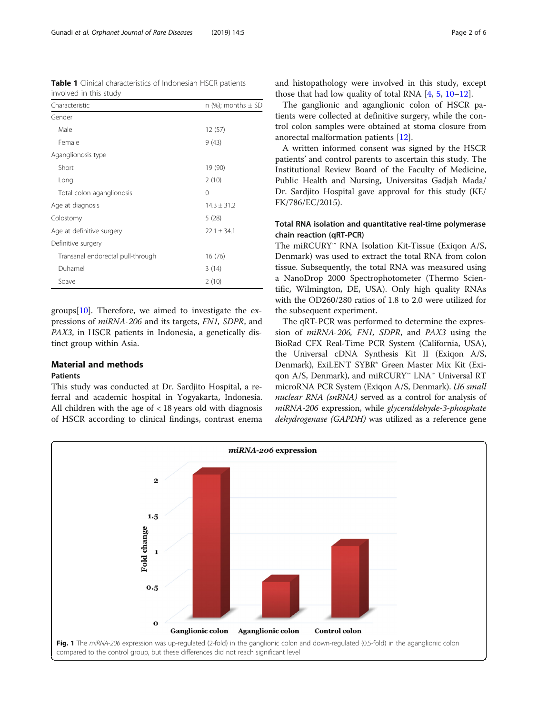<span id="page-1-0"></span>

|                        |  | Table 1 Clinical characteristics of Indonesian HSCR patients |
|------------------------|--|--------------------------------------------------------------|
| involved in this study |  |                                                              |

| Characteristic                    | n (%); months $\pm$ SD |
|-----------------------------------|------------------------|
| Gender                            |                        |
| Male                              | 12(57)                 |
| Female                            | 9(43)                  |
| Aganglionosis type                |                        |
| Short                             | 19 (90)                |
| Long                              | 2(10)                  |
| Total colon aganglionosis         | $\Omega$               |
| Age at diagnosis                  | $14.3 \pm 31.2$        |
| Colostomy                         | 5(28)                  |
| Age at definitive surgery         | $22.1 \pm 34.1$        |
| Definitive surgery                |                        |
| Transanal endorectal pull-through | 16 (76)                |
| Duhamel                           | 3(14)                  |
| Soave                             | 2(10)                  |

groups  $[10]$  $[10]$ . Therefore, we aimed to investigate the expressions of miRNA-206 and its targets, FN1, SDPR, and PAX3, in HSCR patients in Indonesia, a genetically distinct group within Asia.

### Material and methods **Patients**

This study was conducted at Dr. Sardjito Hospital, a referral and academic hospital in Yogyakarta, Indonesia. All children with the age of < 18 years old with diagnosis of HSCR according to clinical findings, contrast enema and histopathology were involved in this study, except those that had low quality of total RNA  $[4, 5, 10-12]$  $[4, 5, 10-12]$  $[4, 5, 10-12]$  $[4, 5, 10-12]$  $[4, 5, 10-12]$  $[4, 5, 10-12]$  $[4, 5, 10-12]$ .

The ganglionic and aganglionic colon of HSCR patients were collected at definitive surgery, while the control colon samples were obtained at stoma closure from anorectal malformation patients [\[12](#page-4-0)].

A written informed consent was signed by the HSCR patients' and control parents to ascertain this study. The Institutional Review Board of the Faculty of Medicine, Public Health and Nursing, Universitas Gadjah Mada/ Dr. Sardjito Hospital gave approval for this study (KE/ FK/786/EC/2015).

## Total RNA isolation and quantitative real-time polymerase chain reaction (qRT-PCR)

The miRCURY™ RNA Isolation Kit-Tissue (Exiqon A/S, Denmark) was used to extract the total RNA from colon tissue. Subsequently, the total RNA was measured using a NanoDrop 2000 Spectrophotometer (Thermo Scientific, Wilmington, DE, USA). Only high quality RNAs with the OD260/280 ratios of 1.8 to 2.0 were utilized for the subsequent experiment.

The qRT-PCR was performed to determine the expression of miRNA-206, FN1, SDPR, and PAX3 using the BioRad CFX Real-Time PCR System (California, USA), the Universal cDNA Synthesis Kit II (Exiqon A/S, Denmark), ExiLENT SYBR® Green Master Mix Kit (Exiqon A/S, Denmark), and miRCURY™ LNA™ Universal RT microRNA PCR System (Exiqon A/S, Denmark). U6 small nuclear RNA (snRNA) served as a control for analysis of miRNA-206 expression, while glyceraldehyde-3-phosphate dehydrogenase (GAPDH) was utilized as a reference gene

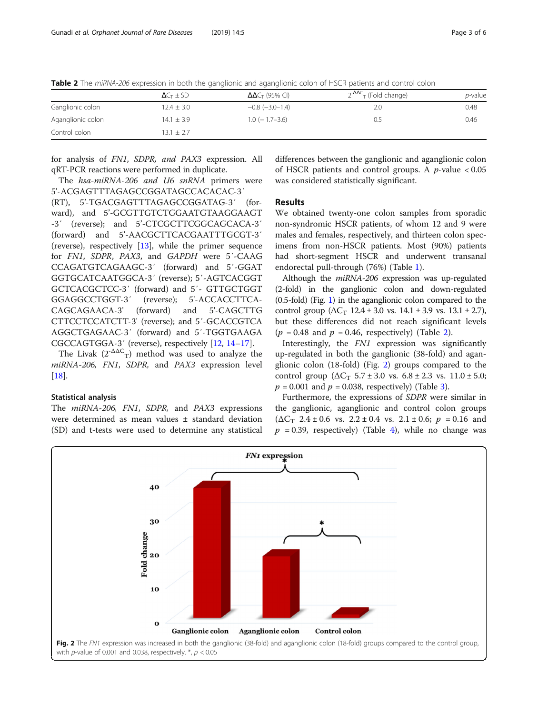Table 2 The miRNA-206 expression in both the ganglionic and aganglionic colon of HSCR patients and control colon

|                   | $\Delta C_T \pm SD$ | $\Delta\Delta C_T$ (95% CI) | $2^{-\Delta\Delta C}$ <sub>T</sub> (Fold change) | <i>p</i> -value |
|-------------------|---------------------|-----------------------------|--------------------------------------------------|-----------------|
| Ganglionic colon  | $12.4 \pm 3.0$      | $-0.8$ $(-3.0-1.4)$         | 2.0                                              | 0.48            |
| Aganglionic colon | $14.1 \pm 3.9$      | $1.0$ ( $-1.7-3.6$ )        | 0.5                                              | 0.46            |
| Control colon     | $13.1 \pm 2.7$      |                             |                                                  |                 |

for analysis of FN1, SDPR, and PAX3 expression. All qRT-PCR reactions were performed in duplicate.

The hsa-miRNA-206 and U6 snRNA primers were 5'-ACGAGTTTAGAGCCGGATAGCCACACAC-3′ (RT), 5'-TGACGAGTTTAGAGCCGGATAG-3′ (forward), and 5'-GCGTTGTCTGGAATGTAAGGAAGT -3′ (reverse); and 5'-CTCGCTTCGGCAGCACA-3′ (forward) and 5'-AACGCTTCACGAATTTGCGT-3′ (reverse), respectively [\[13\]](#page-4-0), while the primer sequence for FN1, SDPR, PAX3, and GAPDH were 5′-CAAG CCAGATGTCAGAAGC-3′ (forward) and 5′-GGAT GGTGCATCAATGGCA-3′ (reverse); 5′-AGTCACGGT GCTCACGCTCC-3′ (forward) and 5′- GTTGCTGGT GGAGGCCTGGT-3′ (reverse); 5'-ACCACCTTCA-CAGCAGAACA-3' (forward) and 5'-CAGCTTG CTTCCTCCATCTT-3' (reverse); and 5′-GCACCGTCA AGGCTGAGAAC-3′ (forward) and 5′-TGGTGAAGA CGCCAGTGGA-3′ (reverse), respectively [[12,](#page-4-0) [14](#page-4-0)–[17](#page-4-0)].

The Livak  $(2^{-\Delta\Delta C}T)$  method was used to analyze the miRNA-206, FN1, SDPR, and PAX3 expression level [[18\]](#page-5-0).

#### Statistical analysis

The miRNA-206, FN1, SDPR, and PAX3 expressions were determined as mean values ± standard deviation (SD) and t-tests were used to determine any statistical

differences between the ganglionic and aganglionic colon of HSCR patients and control groups. A  $p$ -value  $< 0.05$ was considered statistically significant.

## Results

We obtained twenty-one colon samples from sporadic non-syndromic HSCR patients, of whom 12 and 9 were males and females, respectively, and thirteen colon specimens from non-HSCR patients. Most (90%) patients had short-segment HSCR and underwent transanal endorectal pull-through (76%) (Table [1](#page-1-0)).

Although the miRNA-206 expression was up-regulated (2-fold) in the ganglionic colon and down-regulated (0.5-fold) (Fig. [1](#page-1-0)) in the aganglionic colon compared to the control group  $(\Delta C_T 12.4 \pm 3.0 \text{ vs. } 14.1 \pm 3.9 \text{ vs. } 13.1 \pm 2.7),$ but these differences did not reach significant levels  $(p = 0.48$  and  $p = 0.46$ , respectively) (Table 2).

Interestingly, the FN1 expression was significantly up-regulated in both the ganglionic (38-fold) and aganglionic colon (18-fold) (Fig. 2) groups compared to the control group  $(\Delta C_T 5.7 \pm 3.0 \text{ vs. } 6.8 \pm 2.3 \text{ vs. } 11.0 \pm 5.0;$  $p = 0.001$  and  $p = 0.038$ , respectively) (Table [3\)](#page-3-0).

Furthermore, the expressions of SDPR were similar in the ganglionic, aganglionic and control colon groups  $(\Delta C_T$  2.4 ± 0.6 vs. 2.2 ± 0.4 vs. 2.1 ± 0.6;  $p = 0.16$  and  $p = 0.39$ , respectively) (Table [4\)](#page-3-0), while no change was

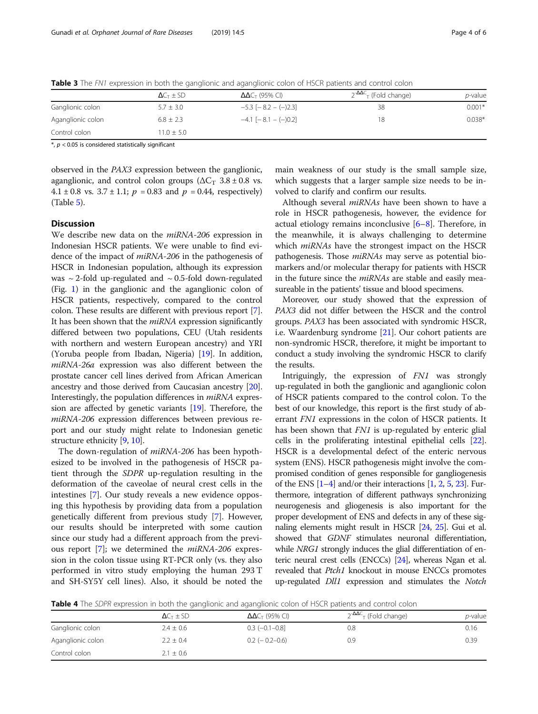|                   | $\Delta C_T \pm SD$ | $\Delta\Delta C_T$ (95% CI) | $2^{-\Delta\Delta C}$ <sub>T</sub> (Fold change) | <i>p</i> -value |
|-------------------|---------------------|-----------------------------|--------------------------------------------------|-----------------|
| Ganglionic colon  | $5.7 \pm 3.0$       | $-5.3$ [ $-8.2 - (-)2.3$ ]  | 38                                               | $0.001*$        |
| Aganglionic colon | $6.8 \pm 2.3$       | $-4.1$ [ $-8.1 - (-)0.2$ ]  | 18                                               | $0.038*$        |
| Control colon     | $11.0 + 5.0$        |                             |                                                  |                 |

<span id="page-3-0"></span>Table 3 The FN1 expression in both the ganglionic and aganglionic colon of HSCR patients and control colon

 $*, p < 0.05$  is considered statistically significant

observed in the PAX3 expression between the ganglionic, aganglionic, and control colon groups ( $\Delta C_T$  3.8 ± 0.8 vs. 4.1  $\pm$  0.8 vs. 3.7  $\pm$  1.1;  $p = 0.83$  and  $p = 0.44$ , respectively) (Table [5\)](#page-4-0).

## **Discussion**

We describe new data on the miRNA-206 expression in Indonesian HSCR patients. We were unable to find evidence of the impact of miRNA-206 in the pathogenesis of HSCR in Indonesian population, although its expression was  $\sim$  2-fold up-regulated and  $\sim$  0.5-fold down-regulated (Fig. [1\)](#page-1-0) in the ganglionic and the aganglionic colon of HSCR patients, respectively, compared to the control colon. These results are different with previous report [[7](#page-4-0)]. It has been shown that the *miRNA* expression significantly differed between two populations, CEU (Utah residents with northern and western European ancestry) and YRI (Yoruba people from Ibadan, Nigeria) [[19\]](#page-5-0). In addition, miRNA-26a expression was also different between the prostate cancer cell lines derived from African American ancestry and those derived from Caucasian ancestry [[20](#page-5-0)]. Interestingly, the population differences in miRNA expression are affected by genetic variants [\[19\]](#page-5-0). Therefore, the miRNA-206 expression differences between previous report and our study might relate to Indonesian genetic structure ethnicity [[9,](#page-4-0) [10\]](#page-4-0).

The down-regulation of *miRNA-206* has been hypothesized to be involved in the pathogenesis of HSCR patient through the SDPR up-regulation resulting in the deformation of the caveolae of neural crest cells in the intestines [\[7](#page-4-0)]. Our study reveals a new evidence opposing this hypothesis by providing data from a population genetically different from previous study [[7](#page-4-0)]. However, our results should be interpreted with some caution since our study had a different approach from the previous report  $[7]$  $[7]$ ; we determined the *miRNA-206* expression in the colon tissue using RT-PCR only (vs. they also performed in vitro study employing the human 293 T and SH-SY5Y cell lines). Also, it should be noted the main weakness of our study is the small sample size, which suggests that a larger sample size needs to be involved to clarify and confirm our results.

Although several *miRNAs* have been shown to have a role in HSCR pathogenesis, however, the evidence for actual etiology remains inconclusive [\[6](#page-4-0)–[8](#page-4-0)]. Therefore, in the meanwhile, it is always challenging to determine which miRNAs have the strongest impact on the HSCR pathogenesis. Those *miRNAs* may serve as potential biomarkers and/or molecular therapy for patients with HSCR in the future since the *miRNAs* are stable and easily measureable in the patients' tissue and blood specimens.

Moreover, our study showed that the expression of PAX3 did not differ between the HSCR and the control groups. PAX3 has been associated with syndromic HSCR, i.e. Waardenburg syndrome [[21](#page-5-0)]. Our cohort patients are non-syndromic HSCR, therefore, it might be important to conduct a study involving the syndromic HSCR to clarify the results.

Intriguingly, the expression of FN1 was strongly up-regulated in both the ganglionic and aganglionic colon of HSCR patients compared to the control colon. To the best of our knowledge, this report is the first study of aberrant FN1 expressions in the colon of HSCR patients. It has been shown that FN1 is up-regulated by enteric glial cells in the proliferating intestinal epithelial cells [[22](#page-5-0)]. HSCR is a developmental defect of the enteric nervous system (ENS). HSCR pathogenesis might involve the compromised condition of genes responsible for gangliogenesis of the ENS  $[1-4]$  $[1-4]$  $[1-4]$  $[1-4]$  and/or their interactions  $[1, 2, 5, 23]$  $[1, 2, 5, 23]$  $[1, 2, 5, 23]$  $[1, 2, 5, 23]$  $[1, 2, 5, 23]$  $[1, 2, 5, 23]$  $[1, 2, 5, 23]$ . Furthermore, integration of different pathways synchronizing neurogenesis and gliogenesis is also important for the proper development of ENS and defects in any of these signaling elements might result in HSCR [[24](#page-5-0), [25](#page-5-0)]. Gui et al. showed that GDNF stimulates neuronal differentiation, while NRG1 strongly induces the glial differentiation of enteric neural crest cells (ENCCs) [[24](#page-5-0)], whereas Ngan et al. revealed that Ptch1 knockout in mouse ENCCs promotes up-regulated Dll1 expression and stimulates the Notch

Table 4 The SDPR expression in both the ganglionic and aganglionic colon of HSCR patients and control colon

|                   | $\Delta C_T \pm SD$ | $\Delta\Delta C_T$ (95% CI) | $2^{-\Delta\Delta C}$ <sub>T</sub> (Fold change) | <i>p</i> -value |
|-------------------|---------------------|-----------------------------|--------------------------------------------------|-----------------|
| Ganglionic colon  | $2.4 \pm 0.6$       | $0.3$ (-0.1-0.8]            | 0.8                                              | 0.16            |
| Aganglionic colon | $2.2 \pm 0.4$       | $0.2$ (-0.2-0.6)            | 0.9                                              | 0.39            |
| Control colon     | $2.1 \pm 0.6$       |                             |                                                  |                 |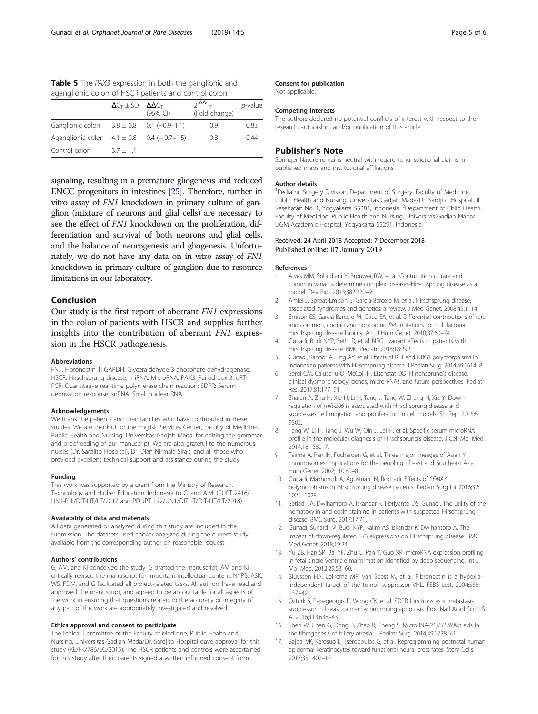<span id="page-4-0"></span>Table 5 The PAX3 expression in both the ganglionic and aganglionic colon of HSCR patients and control colon

|                                                | $\Delta C_{\text{T}} \pm SD \Delta \Delta C_{\text{T}}$ | $(95%$ CI) | $2-\Delta\Delta C$ <sub>T</sub><br>(Fold change) | p-value |
|------------------------------------------------|---------------------------------------------------------|------------|--------------------------------------------------|---------|
| Ganglionic colon $3.8 \pm 0.8$ 0.1 (-0.9-1.1)  |                                                         |            | 0.9                                              | 0.83    |
| Aganglionic colon $4.1 \pm 0.8$ 0.4 (-0.7-1.5) |                                                         |            | 0.8                                              | 0.44    |
| Control colon                                  | $3.7 + 1.1$                                             |            |                                                  |         |

signaling, resulting in a premature gliogenesis and reduced ENCC progenitors in intestines [\[25\]](#page-5-0). Therefore, further in vitro assay of FN1 knockdown in primary culture of ganglion (mixture of neurons and glial cells) are necessary to see the effect of FN1 knockdown on the proliferation, differentiation and survival of both neurons and glial cells, and the balance of neurogenesis and gliogenesis. Unfortunately, we do not have any data on in vitro assay of FN1 knockdown in primary culture of ganglion due to resource limitations in our laboratory.

## Conclusion

Our study is the first report of aberrant FN1 expressions in the colon of patients with HSCR and supplies further insights into the contribution of aberrant FN1 expression in the HSCR pathogenesis.

#### Abbreviations

FN1: Fibronectin 1; GAPDH: Glyceraldehyde-3-phosphate dehydrogenase; HSCR: Hirschsprung disease; miRNA: MicroRNA; PAX3: Paired box 3; qRT-PCR: Quantitative real-time polymerase chain reaction; SDPR: Serum deprivation response; snRNA: Small nuclear RNA

#### Acknowledgements

We thank the patients and their families who have contributed in these studies. We are thankful for the English Services Center, Faculty of Medicine, Public Health and Nursing, Universitas Gadjah Mada, for editing the grammar and proofreading of our manuscript. We are also grateful to the numerous nurses (Dr. Sardjito Hospital), Dr. Dian Nirmala Sirait, and all those who provided excellent technical support and assistance during the study.

#### Funding

This work was supported by a grant from the Ministry of Research, Technology and Higher Education, Indonesia to G. and A.M. (PUPT 2416/ UN1-P.III/DIT-LIT/LT/2017 and PDUPT 192/UN1/DITLIT/DIT-LIT/LT/2018).

#### Availability of data and materials

All data generated or analyzed during this study are included in the submission. The datasets used and/or analyzed during the current study available from the corresponding author on reasonable request.

#### Authors' contributions

G, AM, and KI conceived the study. G drafted the manuscript, AM and KI critically revised the manuscript for important intellectual content. NYPB, ASK, WS, FDM, and G facilitated all project-related tasks. All authors have read and approved the manuscript, and agreed to be accountable for all aspects of the work in ensuring that questions related to the accuracy or integrity of any part of the work are appropriately investigated and resolved.

#### Ethics approval and consent to participate

The Ethical Committee of the Faculty of Medicine, Public Health and Nursing, Universitas Gadjah Mada/Dr. Sardjito Hospital gave approval for this study (KE/FK/786/EC/2015). The HSCR patients and controls were ascertained for this study after their parents signed a written informed consent form.

#### Consent for publication

Not applicable.

#### Competing interests

The authors declared no potential conflicts of interest with respect to the research, authorship, and/or publication of this article.

#### Publisher's Note

Springer Nature remains neutral with regard to jurisdictional claims in published maps and institutional affiliations.

#### Author details

<sup>1</sup> Pediatric Surgery Division, Department of Surgery, Faculty of Medicine Public Health and Nursing, Universitas Gadjah Mada/Dr. Sardjito Hospital, Jl. Kesehatan No. 1, Yogyakarta 55281, Indonesia. <sup>2</sup>Department of Child Health Faculty of Medicine, Public Health and Nursing, Universitas Gadjah Mada/ UGM Academic Hospital, Yogyakarta 55291, Indonesia.

#### Received: 24 April 2018 Accepted: 7 December 2018 Published online: 07 January 2019

#### References

- 1. Alves MM, Sribudiani Y, Brouwer RW, et al. Contribution of rare and common variants determine complex diseases-Hirschsprung disease as a model. Dev Biol. 2013;382:320–9.
- 2. Amiel J, Sproat-Emison E, Garcia-Barcelo M, et al. Hirschsprung disease, associated syndromes and genetics: a review. J Med Genet. 2008;45:1–14.
- 3. Emison ES, Garcia-Barcelo M, Grice EA, et al. Differential contributions of rare and common, coding and noncoding Ret mutations to multifactorial Hirschsprung disease liability. Am J Hum Genet. 2010;87:60–74.
- 4. Gunadi, Budi NYP, Sethi R, et al. NRG1 variant effects in patients with Hirschsprung disease. BMC Pediatr. 2018;18:292.
- 5. Gunadi, Kapoor A, Ling AY, et al. Effects of RET and NRG1 polymorphisms in Indonesian patients with Hirschsprung disease. J Pediatr Surg. 2014;49:1614–8.
- 6. Sergi CM, Caluseriu O, McColl H, Eisenstat DD. Hirschsprung's disease: clinical dysmorphology, genes, micro-RNAs, and future perspectives. Pediatr Res. 2017;81:177–91.
- 7. Sharan A, Zhu H, Xie H, Li H, Tang J, Tang W, Zhang H, Xia Y. Downregulation of miR-206 is associated with Hirschsprung disease and suppresses cell migration and proliferation in cell models. Sci Rep. 2015;5: 9302.
- 8. Tang W, Li H, Tang J, Wu W, Qin J, Lei H, et al. Specific serum microRNA profile in the molecular diagnosis of Hirschsprung's disease. J Cell Mol Med. 2014;18:1580–7.
- 9. Tajima A, Pan IH, Fucharoen G, et al. Three major lineages of Asian Y chromosomes: implications for the peopling of east and Southeast Asia. Hum Genet. 2002;110:80–8.
- 10. Gunadi, Makhmudi A, Agustriani N, Rochadi. Effects of SEMA3 polymorphisms in Hirschsprung disease patients. Pediatr Surg Int 2016;32: 1025–1028.
- 11. Setiadi JA, Dwihantoro A, Iskandar K, Heriyanto DS. Gunadi. The utility of the hematoxylin and eosin staining in patients with suspected Hirschsprung disease. BMC Surg. 2017;17:71.
- 12. Gunadi, Sunardi M, Budi NYP, Kalim AS, Iskandar K, Dwihantoro A. The impact of down-regulated SK3 expressions on Hirschsprung disease. BMC Med Genet. 2018;19:24.
- 13. Yu ZB, Han SP, Bai YF, Zhu C, Pan Y, Guo XR. microRNA expression profiling in fetal single ventricle malformation identified by deep sequencing. Int J Mol Med. 2012;29:53–60.
- 14. Bluyssen HA, Lolkema MP, van Beest M, et al. Fibronectin is a hypoxiaindependent target of the tumor suppressor VHL. FEBS Lett. 2004;556: 137–42.
- 15. Ozturk S, Papageorgis P, Wong CK, et al. SDPR functions as a metastasis suppressor in breast cancer by promoting apoptosis. Proc Natl Acad Sci U S A. 2016;113:638–43.
- 16. Shen W, Chen G, Dong R, Zhao R, Zheng S. MicroRNA-21/PTEN/Akt axis in the fibrogenesis of biliary atresia. J Pediatr Surg. 2014;49:1738–41.
- 17. Bajpai VK, Kerosuo L, Tseropoulos G, et al. Reprogramming postnatal human epidermal keratinocytes toward functional neural crest fates. Stem Cells. 2017;35:1402–15.